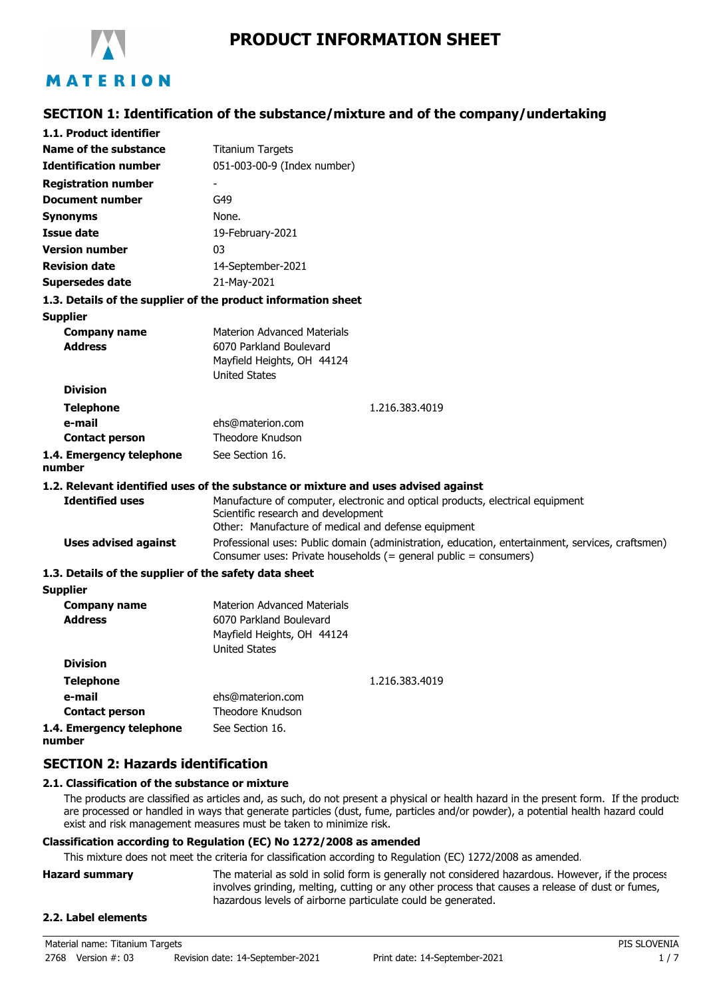

# **PRODUCT INFORMATION SHEET**

# **SECTION 1: Identification of the substance/mixture and of the company/undertaking**

| 1.1. Product identifier                               |                                                                                                                                                                              |  |  |
|-------------------------------------------------------|------------------------------------------------------------------------------------------------------------------------------------------------------------------------------|--|--|
| Name of the substance                                 | <b>Titanium Targets</b>                                                                                                                                                      |  |  |
| <b>Identification number</b>                          | 051-003-00-9 (Index number)                                                                                                                                                  |  |  |
| <b>Registration number</b>                            |                                                                                                                                                                              |  |  |
| <b>Document number</b>                                | G49                                                                                                                                                                          |  |  |
| <b>Synonyms</b>                                       | None.                                                                                                                                                                        |  |  |
| <b>Issue date</b>                                     | 19-February-2021                                                                                                                                                             |  |  |
| <b>Version number</b>                                 | 03                                                                                                                                                                           |  |  |
| <b>Revision date</b>                                  | 14-September-2021                                                                                                                                                            |  |  |
| <b>Supersedes date</b>                                | 21-May-2021                                                                                                                                                                  |  |  |
|                                                       | 1.3. Details of the supplier of the product information sheet                                                                                                                |  |  |
| Supplier                                              |                                                                                                                                                                              |  |  |
| <b>Company name</b>                                   | <b>Materion Advanced Materials</b>                                                                                                                                           |  |  |
| <b>Address</b>                                        | 6070 Parkland Boulevard                                                                                                                                                      |  |  |
|                                                       | Mayfield Heights, OH 44124<br><b>United States</b>                                                                                                                           |  |  |
| <b>Division</b>                                       |                                                                                                                                                                              |  |  |
| <b>Telephone</b>                                      | 1.216.383.4019                                                                                                                                                               |  |  |
| e-mail                                                | ehs@materion.com                                                                                                                                                             |  |  |
| <b>Contact person</b>                                 | Theodore Knudson                                                                                                                                                             |  |  |
| 1.4. Emergency telephone<br>number                    | See Section 16.                                                                                                                                                              |  |  |
|                                                       | 1.2. Relevant identified uses of the substance or mixture and uses advised against                                                                                           |  |  |
| <b>Identified uses</b>                                | Manufacture of computer, electronic and optical products, electrical equipment<br>Scientific research and development<br>Other: Manufacture of medical and defense equipment |  |  |
| <b>Uses advised against</b>                           | Professional uses: Public domain (administration, education, entertainment, services, craftsmen)<br>Consumer uses: Private households (= general public = consumers)         |  |  |
| 1.3. Details of the supplier of the safety data sheet |                                                                                                                                                                              |  |  |
| <b>Supplier</b>                                       |                                                                                                                                                                              |  |  |
| <b>Company name</b><br><b>Address</b>                 | <b>Materion Advanced Materials</b><br>6070 Parkland Boulevard<br>Mayfield Heights, OH 44124<br><b>United States</b>                                                          |  |  |
| <b>Division</b>                                       |                                                                                                                                                                              |  |  |
| <b>Telephone</b>                                      | 1.216.383.4019                                                                                                                                                               |  |  |
| e-mail                                                | ehs@materion.com                                                                                                                                                             |  |  |
| <b>Contact person</b>                                 | <b>Theodore Knudson</b>                                                                                                                                                      |  |  |
| 1.4. Emergency telephone                              | See Section 16.                                                                                                                                                              |  |  |

**number**

## **SECTION 2: Hazards identification**

#### **2.1. Classification of the substance or mixture**

The products are classified as articles and, as such, do not present a physical or health hazard in the present form. If the products are processed or handled in ways that generate particles (dust, fume, particles and/or powder), a potential health hazard could exist and risk management measures must be taken to minimize risk.

#### **Classification according to Regulation (EC) No 1272/2008 as amended**

This mixture does not meet the criteria for classification according to Regulation (EC) 1272/2008 as amended.

| <b>Hazard summary</b> | The material as sold in solid form is generally not considered hazardous. However, if the process |
|-----------------------|---------------------------------------------------------------------------------------------------|
|                       | involves grinding, melting, cutting or any other process that causes a release of dust or fumes,  |
|                       | hazardous levels of airborne particulate could be generated.                                      |

## **2.2. Label elements**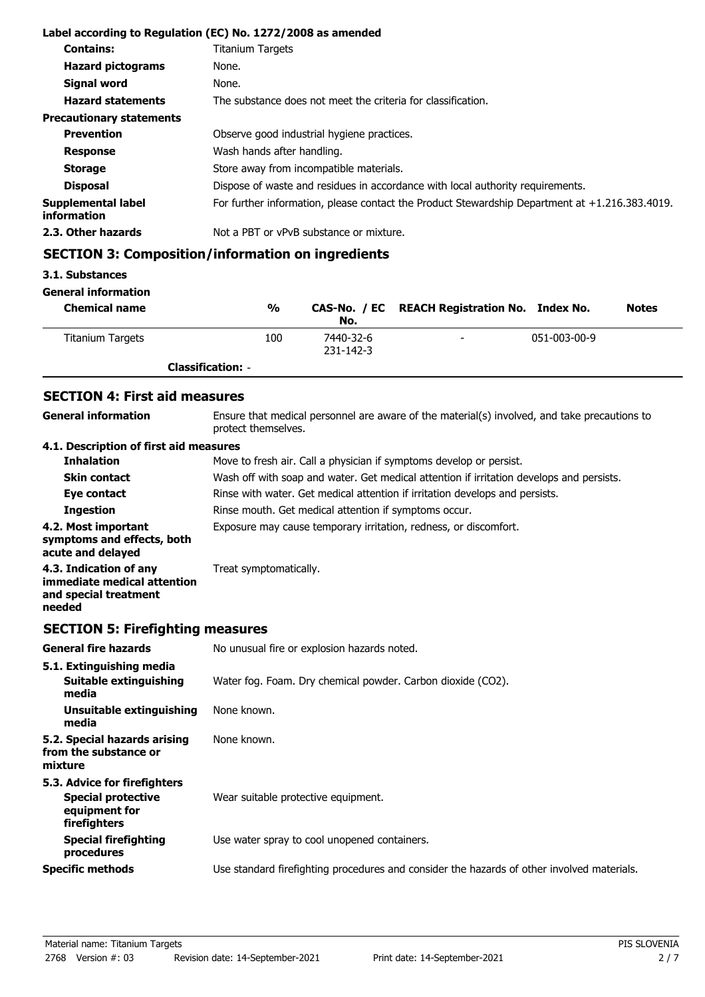|                                   | Label according to Regulation (EC) No. 1272/2008 as amended                                       |
|-----------------------------------|---------------------------------------------------------------------------------------------------|
| <b>Contains:</b>                  | <b>Titanium Targets</b>                                                                           |
| <b>Hazard pictograms</b>          | None.                                                                                             |
| Signal word                       | None.                                                                                             |
| <b>Hazard statements</b>          | The substance does not meet the criteria for classification.                                      |
| <b>Precautionary statements</b>   |                                                                                                   |
| <b>Prevention</b>                 | Observe good industrial hygiene practices.                                                        |
| <b>Response</b>                   | Wash hands after handling.                                                                        |
| <b>Storage</b>                    | Store away from incompatible materials.                                                           |
| <b>Disposal</b>                   | Dispose of waste and residues in accordance with local authority requirements.                    |
| Supplemental label<br>information | For further information, please contact the Product Stewardship Department at $+1.216.383.4019$ . |
| 2.3. Other hazards                | Not a PBT or vPvB substance or mixture.                                                           |

# **SECTION 3: Composition/information on ingredients**

#### **3.1. Substances**

**General information**

| <b>Chemical name</b>    | %                        | No.                    | CAS-No. / EC REACH Registration No. Index No. |              | <b>Notes</b> |
|-------------------------|--------------------------|------------------------|-----------------------------------------------|--------------|--------------|
| <b>Titanium Targets</b> | 100                      | 7440-32-6<br>231-142-3 | $\overline{\phantom{0}}$                      | 051-003-00-9 |              |
|                         | <b>Classification: -</b> |                        |                                               |              |              |

## **SECTION 4: First aid measures**

Ensure that medical personnel are aware of the material(s) involved, and take precautions to protect themselves. **General information 4.1. Description of first aid measures Inhalation** Move to fresh air. Call a physician if symptoms develop or persist.

| THIRIGUVII                                                                               | invector restraints can a privisibility in symptoms develop or persist.                  |
|------------------------------------------------------------------------------------------|------------------------------------------------------------------------------------------|
| <b>Skin contact</b>                                                                      | Wash off with soap and water. Get medical attention if irritation develops and persists. |
| Eye contact                                                                              | Rinse with water. Get medical attention if irritation develops and persists.             |
| <b>Ingestion</b>                                                                         | Rinse mouth. Get medical attention if symptoms occur.                                    |
| 4.2. Most important<br>symptoms and effects, both<br>acute and delayed                   | Exposure may cause temporary irritation, redness, or discomfort.                         |
| 4.3. Indication of any<br>immediate medical attention<br>and special treatment<br>needed | Treat symptomatically.                                                                   |

# **SECTION 5: Firefighting measures**

| <b>General fire hazards</b>                                                                | No unusual fire or explosion hazards noted.                                                |
|--------------------------------------------------------------------------------------------|--------------------------------------------------------------------------------------------|
| 5.1. Extinguishing media<br>Suitable extinguishing<br>media                                | Water fog. Foam. Dry chemical powder. Carbon dioxide (CO2).                                |
| Unsuitable extinguishing<br>media                                                          | None known.                                                                                |
| 5.2. Special hazards arising<br>from the substance or<br>mixture                           | None known.                                                                                |
| 5.3. Advice for firefighters<br><b>Special protective</b><br>equipment for<br>firefighters | Wear suitable protective equipment.                                                        |
| <b>Special firefighting</b><br>procedures                                                  | Use water spray to cool unopened containers.                                               |
| <b>Specific methods</b>                                                                    | Use standard firefighting procedures and consider the hazards of other involved materials. |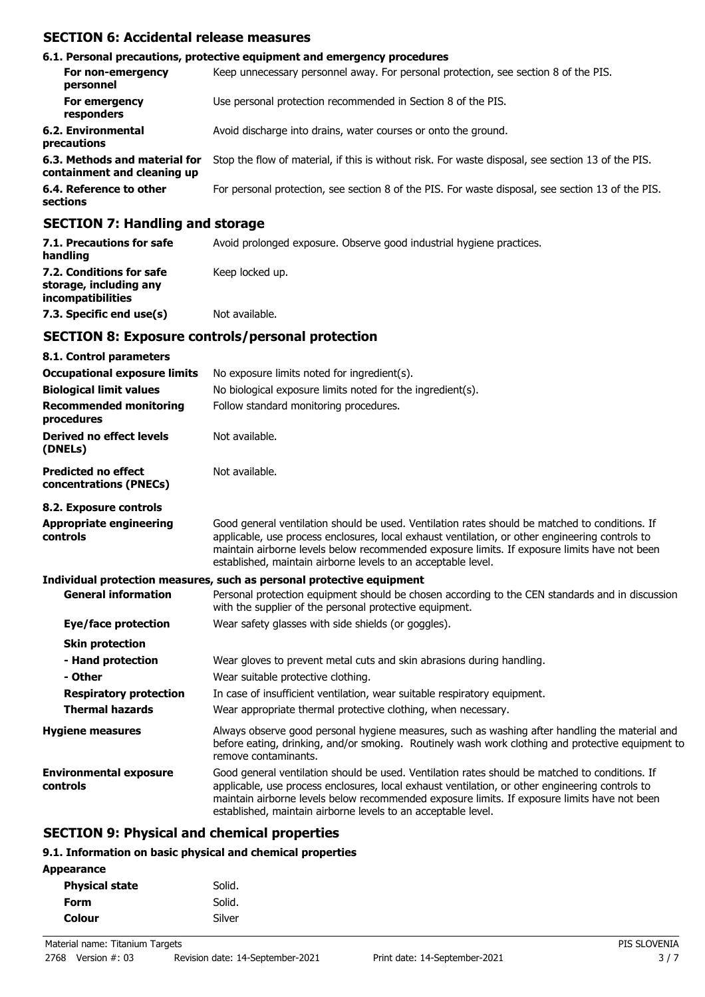## **SECTION 6: Accidental release measures**

|                                                                                                                                                                                                                               | 6.1. Personal precautions, protective equipment and emergency procedures                           |
|-------------------------------------------------------------------------------------------------------------------------------------------------------------------------------------------------------------------------------|----------------------------------------------------------------------------------------------------|
| For non-emergency<br>personnel                                                                                                                                                                                                | Keep unnecessary personnel away. For personal protection, see section 8 of the PIS.                |
| For emergency<br>responders                                                                                                                                                                                                   | Use personal protection recommended in Section 8 of the PIS.                                       |
| 6.2. Environmental<br>precautions                                                                                                                                                                                             | Avoid discharge into drains, water courses or onto the ground.                                     |
| 6.3. Methods and material for<br>containment and cleaning up                                                                                                                                                                  | Stop the flow of material, if this is without risk. For waste disposal, see section 13 of the PIS. |
| 6.4. Reference to other<br>sections                                                                                                                                                                                           | For personal protection, see section 8 of the PIS. For waste disposal, see section 13 of the PIS.  |
| $A$ - $A$ - $A$ - $A$ - $A$ - $A$ - $A$ - $A$ - $A$ - $A$ - $A$ - $A$ - $A$ - $A$ - $A$ - $A$ - $A$ - $A$ - $A$ - $A$ - $A$ - $A$ - $A$ - $A$ - $A$ - $A$ - $A$ - $A$ - $A$ - $A$ - $A$ - $A$ - $A$ - $A$ - $A$ - $A$ - $A$ - |                                                                                                    |

## **SECTION 7: Handling and storage**

| 7.1. Precautions for safe<br>handling                                   | Avoid prolonged exposure. Observe good industrial hygiene practices. |
|-------------------------------------------------------------------------|----------------------------------------------------------------------|
| 7.2. Conditions for safe<br>storage, including any<br>incompatibilities | Keep locked up.                                                      |
| 7.3. Specific end use(s)                                                | Not available.                                                       |

## **SECTION 8: Exposure controls/personal protection**

| 8.1. Control parameters                              |                                                                                                                                                                                                                                                                                                                                                                    |
|------------------------------------------------------|--------------------------------------------------------------------------------------------------------------------------------------------------------------------------------------------------------------------------------------------------------------------------------------------------------------------------------------------------------------------|
| <b>Occupational exposure limits</b>                  | No exposure limits noted for ingredient(s).                                                                                                                                                                                                                                                                                                                        |
| <b>Biological limit values</b>                       | No biological exposure limits noted for the ingredient(s).                                                                                                                                                                                                                                                                                                         |
| <b>Recommended monitoring</b><br>procedures          | Follow standard monitoring procedures.                                                                                                                                                                                                                                                                                                                             |
| Derived no effect levels<br>(DNELs)                  | Not available.                                                                                                                                                                                                                                                                                                                                                     |
| <b>Predicted no effect</b><br>concentrations (PNECs) | Not available.                                                                                                                                                                                                                                                                                                                                                     |
| 8.2. Exposure controls                               |                                                                                                                                                                                                                                                                                                                                                                    |
| <b>Appropriate engineering</b><br>controls           | Good general ventilation should be used. Ventilation rates should be matched to conditions. If<br>applicable, use process enclosures, local exhaust ventilation, or other engineering controls to<br>maintain airborne levels below recommended exposure limits. If exposure limits have not been<br>established, maintain airborne levels to an acceptable level. |
|                                                      | Individual protection measures, such as personal protective equipment                                                                                                                                                                                                                                                                                              |
| <b>General information</b>                           | Personal protection equipment should be chosen according to the CEN standards and in discussion<br>with the supplier of the personal protective equipment.                                                                                                                                                                                                         |
| Eye/face protection                                  | Wear safety glasses with side shields (or goggles).                                                                                                                                                                                                                                                                                                                |
| <b>Skin protection</b>                               |                                                                                                                                                                                                                                                                                                                                                                    |
| - Hand protection<br>- Other                         | Wear gloves to prevent metal cuts and skin abrasions during handling.<br>Wear suitable protective clothing.                                                                                                                                                                                                                                                        |
| <b>Respiratory protection</b>                        | In case of insufficient ventilation, wear suitable respiratory equipment.                                                                                                                                                                                                                                                                                          |
| <b>Thermal hazards</b>                               | Wear appropriate thermal protective clothing, when necessary.                                                                                                                                                                                                                                                                                                      |
| <b>Hygiene measures</b>                              | Always observe good personal hygiene measures, such as washing after handling the material and<br>before eating, drinking, and/or smoking. Routinely wash work clothing and protective equipment to<br>remove contaminants.                                                                                                                                        |
| <b>Environmental exposure</b><br>controls            | Good general ventilation should be used. Ventilation rates should be matched to conditions. If<br>applicable, use process enclosures, local exhaust ventilation, or other engineering controls to<br>maintain airborne levels below recommended exposure limits. If exposure limits have not been<br>established, maintain airborne levels to an acceptable level. |

# **SECTION 9: Physical and chemical properties**

## **9.1. Information on basic physical and chemical properties**

| Solid. |
|--------|
| Solid. |
| Silver |
|        |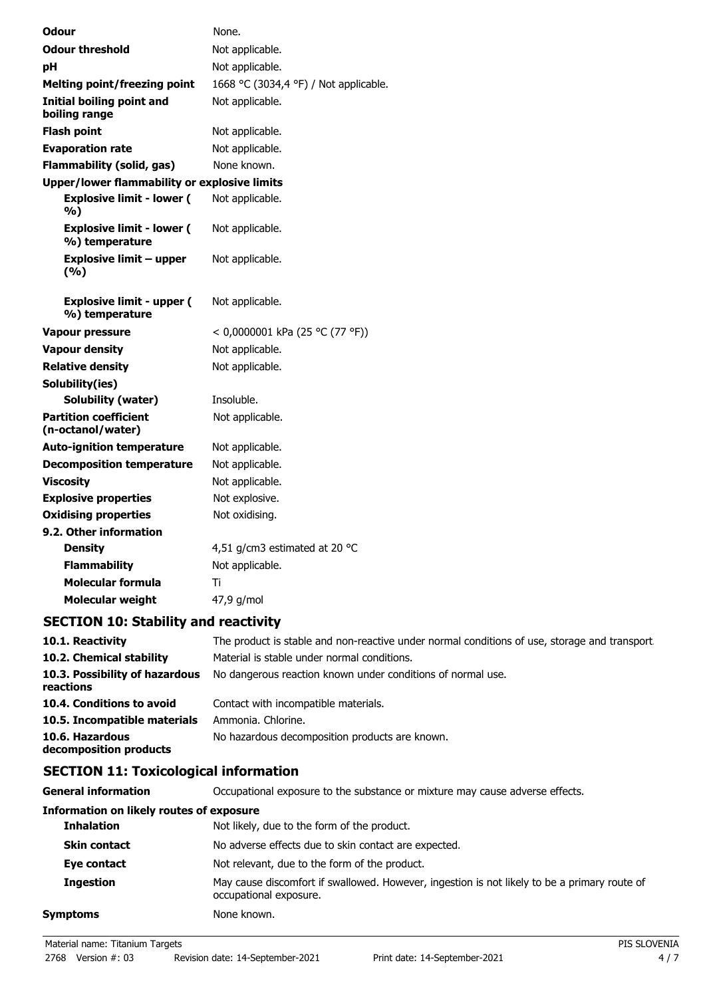| Odour                                               | None.                                 |
|-----------------------------------------------------|---------------------------------------|
| <b>Odour threshold</b>                              | Not applicable.                       |
| рH                                                  | Not applicable.                       |
| <b>Melting point/freezing point</b>                 | 1668 °C (3034,4 °F) / Not applicable. |
| <b>Initial boiling point and</b><br>boiling range   | Not applicable.                       |
| <b>Flash point</b>                                  | Not applicable.                       |
| <b>Evaporation rate</b>                             | Not applicable.                       |
| <b>Flammability (solid, gas)</b>                    | None known.                           |
| <b>Upper/lower flammability or explosive limits</b> |                                       |
| <b>Explosive limit - lower (</b><br>%)              | Not applicable.                       |
| <b>Explosive limit - lower (</b><br>%) temperature  | Not applicable.                       |
| <b>Explosive limit - upper</b><br>(%)               | Not applicable.                       |
| <b>Explosive limit - upper (</b><br>%) temperature  | Not applicable.                       |
| <b>Vapour pressure</b>                              | < 0,0000001 kPa (25 °C (77 °F))       |
| <b>Vapour density</b>                               | Not applicable.                       |
| <b>Relative density</b>                             | Not applicable.                       |
| Solubility(ies)                                     |                                       |
| Solubility (water)                                  | Insoluble.                            |
| <b>Partition coefficient</b><br>(n-octanol/water)   | Not applicable.                       |
| <b>Auto-ignition temperature</b>                    | Not applicable.                       |
| <b>Decomposition temperature</b>                    | Not applicable.                       |
| <b>Viscosity</b>                                    | Not applicable.                       |
| <b>Explosive properties</b>                         | Not explosive.                        |
| <b>Oxidising properties</b>                         | Not oxidising.                        |
| 9.2. Other information                              |                                       |
| <b>Density</b>                                      | 4,51 g/cm3 estimated at 20 °C         |
| <b>Flammability</b>                                 | Not applicable.                       |
| Molecular formula                                   | Ti                                    |
| <b>Molecular weight</b>                             | 47,9 g/mol                            |

# **SECTION 10: Stability and reactivity**

| 10.1. Reactivity                            | The product is stable and non-reactive under normal conditions of use, storage and transport. |
|---------------------------------------------|-----------------------------------------------------------------------------------------------|
| 10.2. Chemical stability                    | Material is stable under normal conditions.                                                   |
| 10.3. Possibility of hazardous<br>reactions | No dangerous reaction known under conditions of normal use.                                   |
| 10.4. Conditions to avoid                   | Contact with incompatible materials.                                                          |
| 10.5. Incompatible materials                | Ammonia. Chlorine.                                                                            |
| 10.6. Hazardous<br>decomposition products   | No hazardous decomposition products are known.                                                |

# **SECTION 11: Toxicological information**

| <b>General information</b>                      | Occupational exposure to the substance or mixture may cause adverse effects.                                           |
|-------------------------------------------------|------------------------------------------------------------------------------------------------------------------------|
| <b>Information on likely routes of exposure</b> |                                                                                                                        |
| <b>Inhalation</b>                               | Not likely, due to the form of the product.                                                                            |
| <b>Skin contact</b>                             | No adverse effects due to skin contact are expected.                                                                   |
| Eye contact                                     | Not relevant, due to the form of the product.                                                                          |
| <b>Ingestion</b>                                | May cause discomfort if swallowed. However, ingestion is not likely to be a primary route of<br>occupational exposure. |
| <b>Symptoms</b>                                 | None known.                                                                                                            |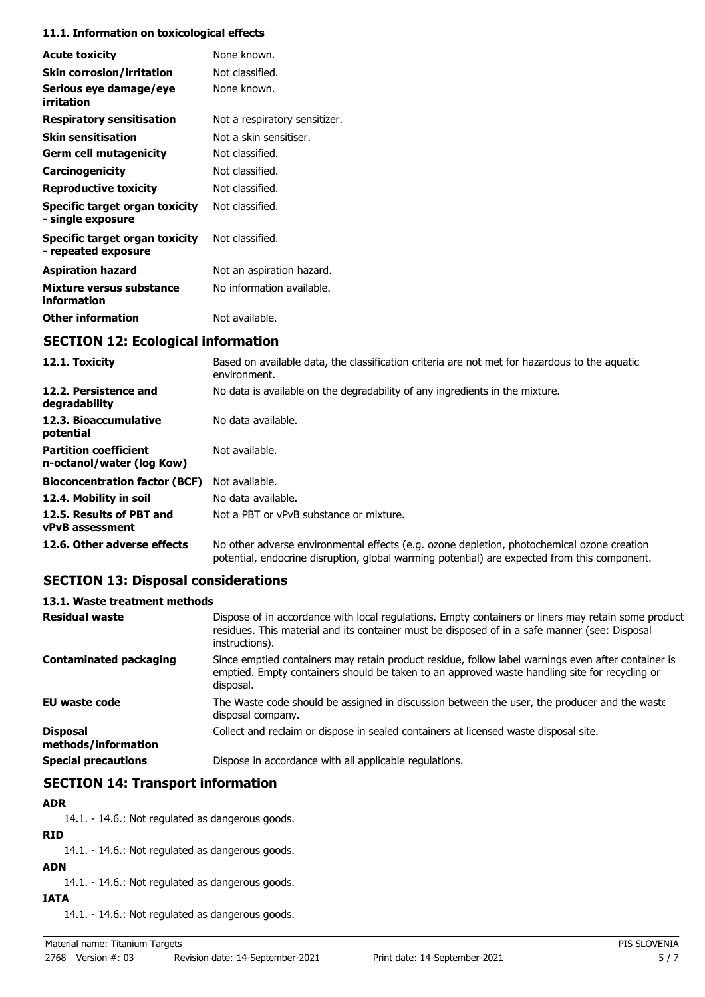#### **11.1. Information on toxicological effects**

| <b>Acute toxicity</b>                                 | None known.                   |
|-------------------------------------------------------|-------------------------------|
| <b>Skin corrosion/irritation</b>                      | Not classified.               |
| Serious eye damage/eye<br>irritation                  | None known.                   |
| <b>Respiratory sensitisation</b>                      | Not a respiratory sensitizer. |
| <b>Skin sensitisation</b>                             | Not a skin sensitiser.        |
| <b>Germ cell mutagenicity</b>                         | Not classified.               |
| Carcinogenicity                                       | Not classified.               |
| <b>Reproductive toxicity</b>                          | Not classified.               |
| Specific target organ toxicity<br>- single exposure   | Not classified.               |
| Specific target organ toxicity<br>- repeated exposure | Not classified.               |
| <b>Aspiration hazard</b>                              | Not an aspiration hazard.     |
| Mixture versus substance<br>information               | No information available.     |
| <b>Other information</b>                              | Not available.                |

# **SECTION 12: Ecological information**

| 12.1. Toxicity                                            | Based on available data, the classification criteria are not met for hazardous to the aquatic<br>environment.                                                                              |
|-----------------------------------------------------------|--------------------------------------------------------------------------------------------------------------------------------------------------------------------------------------------|
| 12.2. Persistence and<br>degradability                    | No data is available on the degradability of any ingredients in the mixture.                                                                                                               |
| 12.3. Bioaccumulative<br>potential                        | No data available.                                                                                                                                                                         |
| <b>Partition coefficient</b><br>n-octanol/water (log Kow) | Not available.                                                                                                                                                                             |
| <b>Bioconcentration factor (BCF)</b>                      | Not available.                                                                                                                                                                             |
| 12.4. Mobility in soil                                    | No data available.                                                                                                                                                                         |
| 12.5. Results of PBT and<br><b>vPvB</b> assessment        | Not a PBT or vPvB substance or mixture.                                                                                                                                                    |
| 12.6. Other adverse effects                               | No other adverse environmental effects (e.g. ozone depletion, photochemical ozone creation<br>potential, endocrine disruption, global warming potential) are expected from this component. |

# **SECTION 13: Disposal considerations**

## **13.1. Waste treatment methods**

| <b>Residual waste</b>                  | Dispose of in accordance with local regulations. Empty containers or liners may retain some product<br>residues. This material and its container must be disposed of in a safe manner (see: Disposal<br>instructions). |
|----------------------------------------|------------------------------------------------------------------------------------------------------------------------------------------------------------------------------------------------------------------------|
| Contaminated packaging                 | Since emptied containers may retain product residue, follow label warnings even after container is<br>emptied. Empty containers should be taken to an approved waste handling site for recycling or<br>disposal.       |
| <b>EU waste code</b>                   | The Waste code should be assigned in discussion between the user, the producer and the waste<br>disposal company.                                                                                                      |
| <b>Disposal</b><br>methods/information | Collect and reclaim or dispose in sealed containers at licensed waste disposal site.                                                                                                                                   |
| <b>Special precautions</b>             | Dispose in accordance with all applicable regulations.                                                                                                                                                                 |

# **SECTION 14: Transport information**

#### **ADR**

14.1. - 14.6.: Not regulated as dangerous goods.

# **RID**

14.1. - 14.6.: Not regulated as dangerous goods.

# **ADN**

14.1. - 14.6.: Not regulated as dangerous goods.

## **IATA**

14.1. - 14.6.: Not regulated as dangerous goods.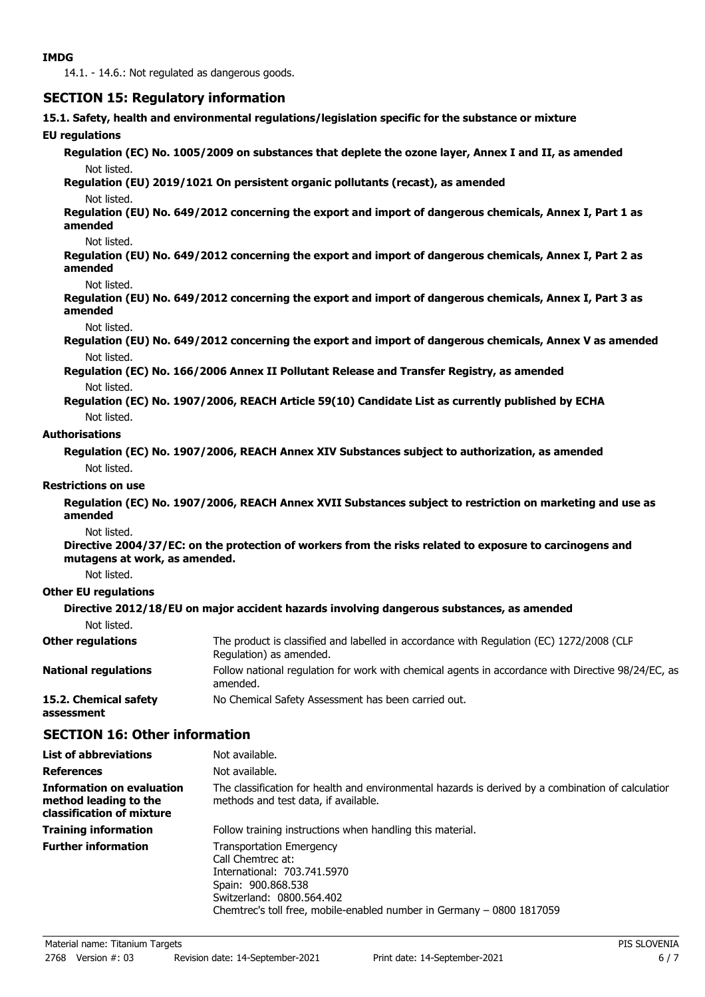14.1. - 14.6.: Not regulated as dangerous goods.

## **SECTION 15: Regulatory information**

**15.1. Safety, health and environmental regulations/legislation specific for the substance or mixture**

### **EU regulations**

**Regulation (EC) No. 1005/2009 on substances that deplete the ozone layer, Annex I and II, as amended** Not listed.

### **Regulation (EU) 2019/1021 On persistent organic pollutants (recast), as amended**

#### Not listed.

**Regulation (EU) No. 649/2012 concerning the export and import of dangerous chemicals, Annex I, Part 1 as amended**

#### Not listed.

**Regulation (EU) No. 649/2012 concerning the export and import of dangerous chemicals, Annex I, Part 2 as amended**

#### Not listed.

**Regulation (EU) No. 649/2012 concerning the export and import of dangerous chemicals, Annex I, Part 3 as amended**

#### Not listed.

**Regulation (EU) No. 649/2012 concerning the export and import of dangerous chemicals, Annex V as amended** Not listed.

**Regulation (EC) No. 166/2006 Annex II Pollutant Release and Transfer Registry, as amended** Not listed.

**Regulation (EC) No. 1907/2006, REACH Article 59(10) Candidate List as currently published by ECHA** Not listed.

## **Authorisations**

**Regulation (EC) No. 1907/2006, REACH Annex XIV Substances subject to authorization, as amended** Not listed.

#### **Restrictions on use**

**Regulation (EC) No. 1907/2006, REACH Annex XVII Substances subject to restriction on marketing and use as amended**

#### Not listed.

**Directive 2004/37/EC: on the protection of workers from the risks related to exposure to carcinogens and mutagens at work, as amended.**

Not listed.

## **Other EU regulations**

**Directive 2012/18/EU on major accident hazards involving dangerous substances, as amended** Not listed.

| <b>Other regulations</b>            | The product is classified and labelled in accordance with Regulation (EC) 1272/2008 (CLP<br>Regulation) as amended. |
|-------------------------------------|---------------------------------------------------------------------------------------------------------------------|
| <b>National regulations</b>         | Follow national regulation for work with chemical agents in accordance with Directive 98/24/EC, as<br>amended.      |
| 15.2. Chemical safety<br>assessment | No Chemical Safety Assessment has been carried out.                                                                 |

## **SECTION 16: Other information**

| <b>List of abbreviations</b>                                                           | Not available.                                                                                                                                                                                                  |
|----------------------------------------------------------------------------------------|-----------------------------------------------------------------------------------------------------------------------------------------------------------------------------------------------------------------|
| <b>References</b>                                                                      | Not available.                                                                                                                                                                                                  |
| <b>Information on evaluation</b><br>method leading to the<br>classification of mixture | The classification for health and environmental hazards is derived by a combination of calculatior<br>methods and test data, if available.                                                                      |
| <b>Training information</b>                                                            | Follow training instructions when handling this material.                                                                                                                                                       |
| <b>Further information</b>                                                             | <b>Transportation Emergency</b><br>Call Chemtrec at:<br>International: 703.741.5970<br>Spain: 900.868.538<br>Switzerland: 0800.564.402<br>Chemtrec's toll free, mobile-enabled number in Germany – 0800 1817059 |